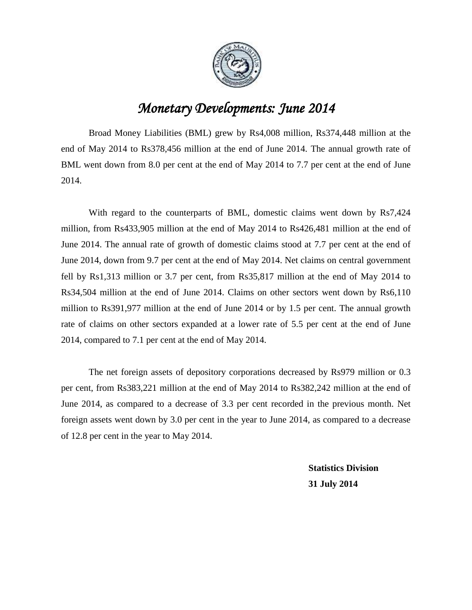

## *Monetary Developments: June 2014*

Broad Money Liabilities (BML) grew by Rs4,008 million, Rs374,448 million at the end of May 2014 to Rs378,456 million at the end of June 2014. The annual growth rate of BML went down from 8.0 per cent at the end of May 2014 to 7.7 per cent at the end of June 2014.

With regard to the counterparts of BML, domestic claims went down by Rs7,424 million, from Rs433,905 million at the end of May 2014 to Rs426,481 million at the end of June 2014. The annual rate of growth of domestic claims stood at 7.7 per cent at the end of June 2014, down from 9.7 per cent at the end of May 2014. Net claims on central government fell by Rs1,313 million or 3.7 per cent, from Rs35,817 million at the end of May 2014 to Rs34,504 million at the end of June 2014. Claims on other sectors went down by Rs6,110 million to Rs391,977 million at the end of June 2014 or by 1.5 per cent. The annual growth rate of claims on other sectors expanded at a lower rate of 5.5 per cent at the end of June 2014, compared to 7.1 per cent at the end of May 2014.

The net foreign assets of depository corporations decreased by Rs979 million or 0.3 per cent, from Rs383,221 million at the end of May 2014 to Rs382,242 million at the end of June 2014, as compared to a decrease of 3.3 per cent recorded in the previous month. Net foreign assets went down by 3.0 per cent in the year to June 2014, as compared to a decrease of 12.8 per cent in the year to May 2014.

> **Statistics Division 31 July 2014**